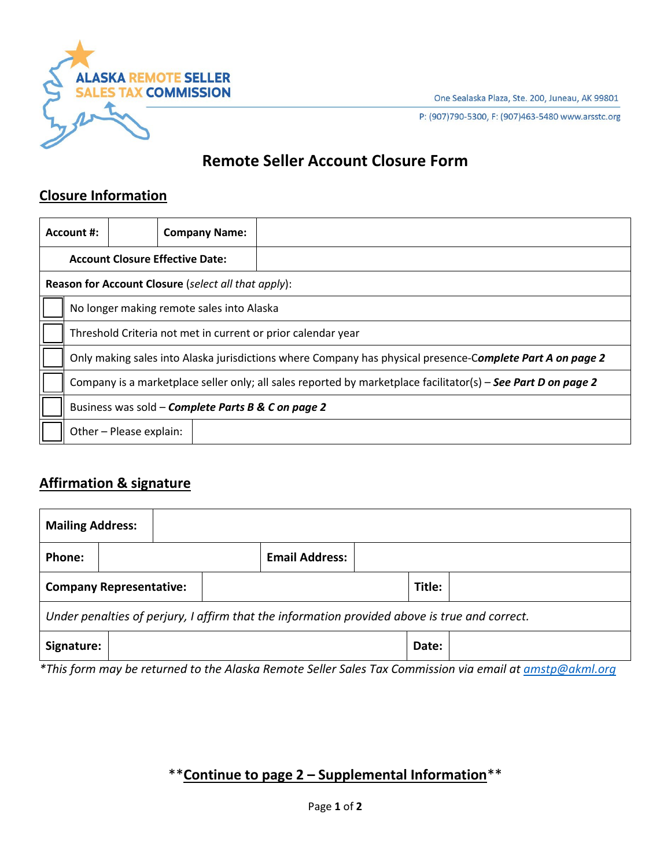One Sealaska Plaza, Ste. 200, Juneau, AK 99801

**ALASKA REMOTE SELLER SALES TAX COMMISSION** 

P: (907)790-5300, F: (907)463-5480 www.arsstc.org

# **Remote Seller Account Closure Form**

## **Closure Information**

|                                        | Account #:                                                                                                    |                         | <b>Company Name:</b> |  |  |  |  |
|----------------------------------------|---------------------------------------------------------------------------------------------------------------|-------------------------|----------------------|--|--|--|--|
| <b>Account Closure Effective Date:</b> |                                                                                                               |                         |                      |  |  |  |  |
|                                        | Reason for Account Closure (select all that apply):                                                           |                         |                      |  |  |  |  |
|                                        | No longer making remote sales into Alaska                                                                     |                         |                      |  |  |  |  |
|                                        | Threshold Criteria not met in current or prior calendar year                                                  |                         |                      |  |  |  |  |
|                                        | Only making sales into Alaska jurisdictions where Company has physical presence-Complete Part A on page 2     |                         |                      |  |  |  |  |
|                                        | Company is a marketplace seller only; all sales reported by marketplace facilitator(s) – See Part D on page 2 |                         |                      |  |  |  |  |
|                                        | Business was sold – Complete Parts B & C on page 2                                                            |                         |                      |  |  |  |  |
|                                        |                                                                                                               | Other - Please explain: |                      |  |  |  |  |

# **Affirmation & signature**

| <b>Mailing Address:</b>                                                                       |                                |  |                       |  |        |  |  |  |
|-----------------------------------------------------------------------------------------------|--------------------------------|--|-----------------------|--|--------|--|--|--|
| Phone:                                                                                        |                                |  | <b>Email Address:</b> |  |        |  |  |  |
|                                                                                               | <b>Company Representative:</b> |  |                       |  | Title: |  |  |  |
| Under penalties of perjury, I affirm that the information provided above is true and correct. |                                |  |                       |  |        |  |  |  |
| Signature:                                                                                    |                                |  |                       |  | Date:  |  |  |  |

*\*This form may be returned to the Alaska Remote Seller Sales Tax Commission via email a[t amstp@akml.org](mailto:amstp@akml.org)*

# \*\***Continue to page 2 – Supplemental Information**\*\*